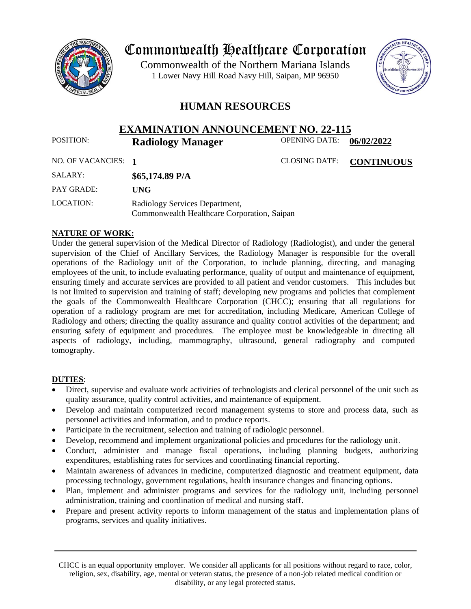

# Commonwealth Healthcare Corporation

 1 Lower Navy Hill Road Navy Hill, Saipan, MP 96950Commonwealth of the Northern Mariana Islands



## **HUMAN RESOURCES**

## **EXAMINATION ANNOUNCEMENT NO. 22-115**<br>**Radiology Manager** OPENING DATE: 0 POSITION: **Radiology Manager** OPENING DATE: 06/02/2022

| NO. OF VACANCIES: 1 |                                                                               | <b>CLOSING DATE:</b> | <b>CONTINUOUS</b> |
|---------------------|-------------------------------------------------------------------------------|----------------------|-------------------|
| SALARY:             | $$65,174.89$ P/A                                                              |                      |                   |
| PAY GRADE:          | UNG                                                                           |                      |                   |
| LOCATION:           | Radiology Services Department,<br>Commonwealth Healthcare Corporation, Saipan |                      |                   |

#### **NATURE OF WORK:**

Under the general supervision of the Medical Director of Radiology (Radiologist), and under the general supervision of the Chief of Ancillary Services, the Radiology Manager is responsible for the overall operations of the Radiology unit of the Corporation, to include planning, directing, and managing employees of the unit, to include evaluating performance, quality of output and maintenance of equipment, ensuring timely and accurate services are provided to all patient and vendor customers. This includes but is not limited to supervision and training of staff; developing new programs and policies that complement the goals of the Commonwealth Healthcare Corporation (CHCC); ensuring that all regulations for operation of a radiology program are met for accreditation, including Medicare, American College of Radiology and others; directing the quality assurance and quality control activities of the department; and ensuring safety of equipment and procedures. The employee must be knowledgeable in directing all aspects of radiology, including, mammography, ultrasound, general radiography and computed tomography.

#### **DUTIES**:

- Direct, supervise and evaluate work activities of technologists and clerical personnel of the unit such as quality assurance, quality control activities, and maintenance of equipment.
- Develop and maintain computerized record management systems to store and process data, such as personnel activities and information, and to produce reports.
- Participate in the recruitment, selection and training of radiologic personnel.
- Develop, recommend and implement organizational policies and procedures for the radiology unit.
- Conduct, administer and manage fiscal operations, including planning budgets, authorizing expenditures, establishing rates for services and coordinating financial reporting.
- Maintain awareness of advances in medicine, computerized diagnostic and treatment equipment, data processing technology, government regulations, health insurance changes and financing options.
- Plan, implement and administer programs and services for the radiology unit, including personnel administration, training and coordination of medical and nursing staff.
- Prepare and present activity reports to inform management of the status and implementation plans of programs, services and quality initiatives.

CHCC is an equal opportunity employer. We consider all applicants for all positions without regard to race, color, religion, sex, disability, age, mental or veteran status, the presence of a non-job related medical condition or disability, or any legal protected status.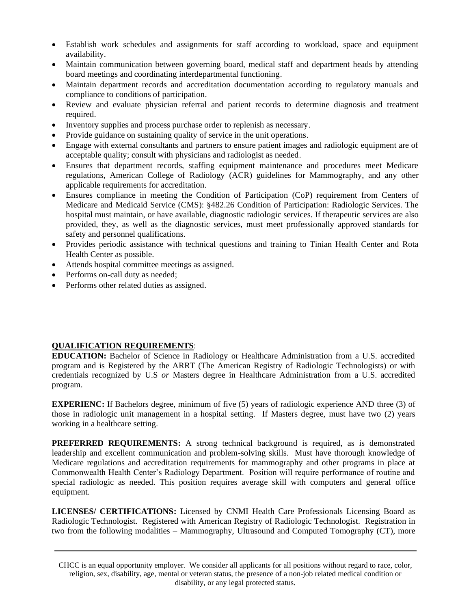- Establish work schedules and assignments for staff according to workload, space and equipment availability.
- Maintain communication between governing board, medical staff and department heads by attending board meetings and coordinating interdepartmental functioning.
- Maintain department records and accreditation documentation according to regulatory manuals and compliance to conditions of participation.
- Review and evaluate physician referral and patient records to determine diagnosis and treatment required.
- Inventory supplies and process purchase order to replenish as necessary.
- Provide guidance on sustaining quality of service in the unit operations.
- Engage with external consultants and partners to ensure patient images and radiologic equipment are of acceptable quality; consult with physicians and radiologist as needed.
- Ensures that department records, staffing equipment maintenance and procedures meet Medicare regulations, American College of Radiology (ACR) guidelines for Mammography, and any other applicable requirements for accreditation.
- Ensures compliance in meeting the Condition of Participation (CoP) requirement from Centers of Medicare and Medicaid Service (CMS): §482.26 Condition of Participation: Radiologic Services. The hospital must maintain, or have available, diagnostic radiologic services. If therapeutic services are also provided, they, as well as the diagnostic services, must meet professionally approved standards for safety and personnel qualifications.
- Provides periodic assistance with technical questions and training to Tinian Health Center and Rota Health Center as possible.
- Attends hospital committee meetings as assigned.
- Performs on-call duty as needed;
- Performs other related duties as assigned.

#### **QUALIFICATION REQUIREMENTS**:

**EDUCATION:** Bachelor of Science in Radiology or Healthcare Administration from a U.S. accredited program and is Registered by the ARRT (The American Registry of Radiologic Technologists) or with credentials recognized by U.S *or* Masters degree in Healthcare Administration from a U.S. accredited program.

**EXPERIENC:** If Bachelors degree, minimum of five (5) years of radiologic experience AND three (3) of those in radiologic unit management in a hospital setting. If Masters degree, must have two (2) years working in a healthcare setting.

**PREFERRED REQUIREMENTS:** A strong technical background is required, as is demonstrated leadership and excellent communication and problem-solving skills. Must have thorough knowledge of Medicare regulations and accreditation requirements for mammography and other programs in place at Commonwealth Health Center's Radiology Department. Position will require performance of routine and special radiologic as needed. This position requires average skill with computers and general office equipment.

**LICENSES/ CERTIFICATIONS:** Licensed by CNMI Health Care Professionals Licensing Board as Radiologic Technologist. Registered with American Registry of Radiologic Technologist. Registration in two from the following modalities – Mammography, Ultrasound and Computed Tomography (CT), more

CHCC is an equal opportunity employer. We consider all applicants for all positions without regard to race, color, religion, sex, disability, age, mental or veteran status, the presence of a non-job related medical condition or disability, or any legal protected status.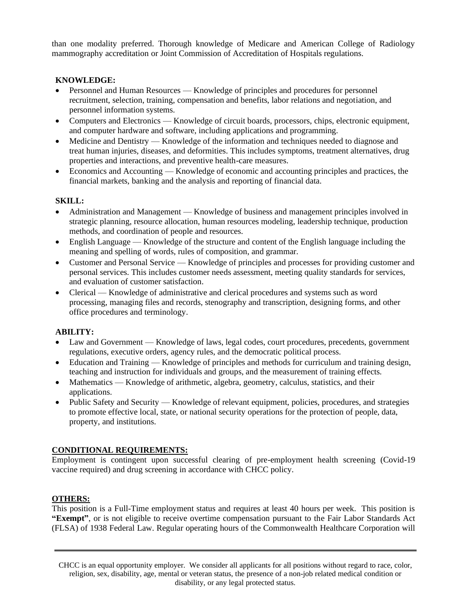than one modality preferred. Thorough knowledge of Medicare and American College of Radiology mammography accreditation or Joint Commission of Accreditation of Hospitals regulations.

#### **KNOWLEDGE:**

- Personnel and Human Resources Knowledge of principles and procedures for personnel recruitment, selection, training, compensation and benefits, labor relations and negotiation, and personnel information systems.
- Computers and Electronics Knowledge of circuit boards, processors, chips, electronic equipment, and computer hardware and software, including applications and programming.
- Medicine and Dentistry Knowledge of the information and techniques needed to diagnose and treat human injuries, diseases, and deformities. This includes symptoms, treatment alternatives, drug properties and interactions, and preventive health-care measures.
- Economics and Accounting Knowledge of economic and accounting principles and practices, the financial markets, banking and the analysis and reporting of financial data.

#### **SKILL:**

- Administration and Management Knowledge of business and management principles involved in strategic planning, resource allocation, human resources modeling, leadership technique, production methods, and coordination of people and resources.
- English Language Knowledge of the structure and content of the English language including the meaning and spelling of words, rules of composition, and grammar.
- Customer and Personal Service Knowledge of principles and processes for providing customer and personal services. This includes customer needs assessment, meeting quality standards for services, and evaluation of customer satisfaction.
- Clerical Knowledge of administrative and clerical procedures and systems such as word processing, managing files and records, stenography and transcription, designing forms, and other office procedures and terminology.

#### **ABILITY:**

- Law and Government Knowledge of laws, legal codes, court procedures, precedents, government regulations, executive orders, agency rules, and the democratic political process.
- Education and Training Knowledge of principles and methods for curriculum and training design, teaching and instruction for individuals and groups, and the measurement of training effects.
- Mathematics Knowledge of arithmetic, algebra, geometry, calculus, statistics, and their applications.
- Public Safety and Security Knowledge of relevant equipment, policies, procedures, and strategies to promote effective local, state, or national security operations for the protection of people, data, property, and institutions.

### **CONDITIONAL REQUIREMENTS:**

Employment is contingent upon successful clearing of pre-employment health screening (Covid-19 vaccine required) and drug screening in accordance with CHCC policy.

### **OTHERS:**

This position is a Full-Time employment status and requires at least 40 hours per week. This position is **"Exempt"**, or is not eligible to receive overtime compensation pursuant to the Fair Labor Standards Act (FLSA) of 1938 Federal Law. Regular operating hours of the Commonwealth Healthcare Corporation will

CHCC is an equal opportunity employer. We consider all applicants for all positions without regard to race, color, religion, sex, disability, age, mental or veteran status, the presence of a non-job related medical condition or disability, or any legal protected status.